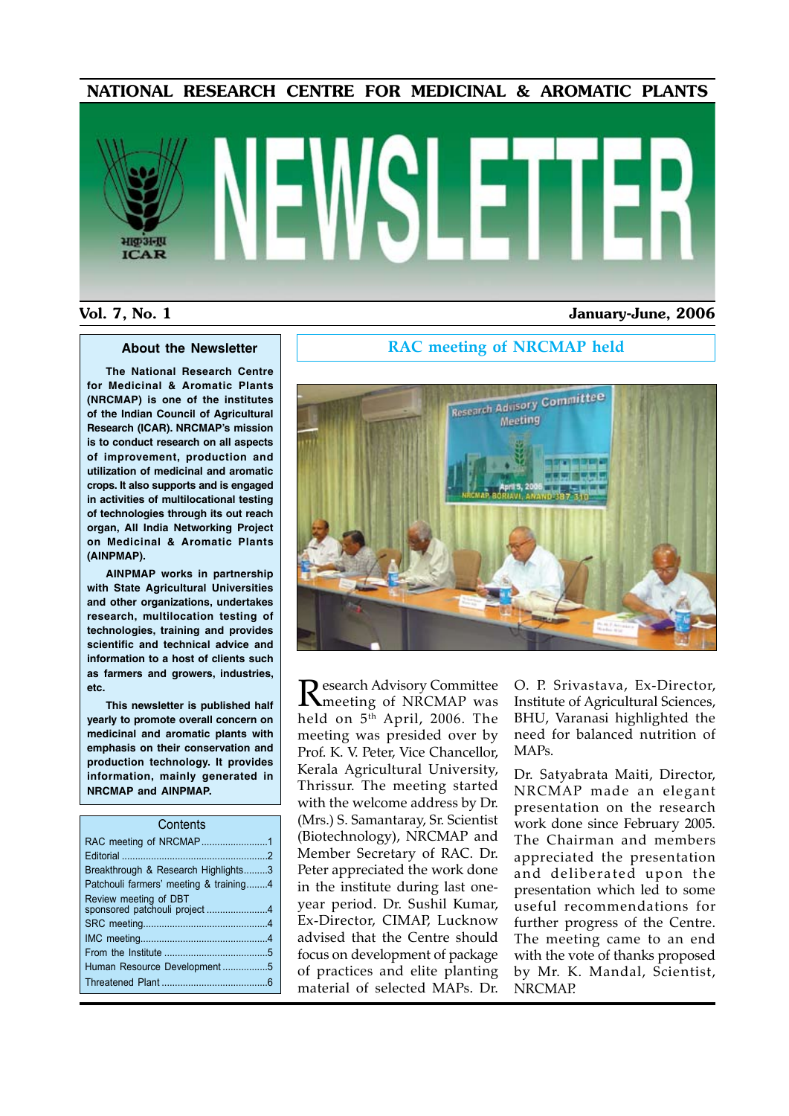#### NATIONAL RESEARCH CENTRE FOR MEDICINAL & AROMATIC PLANTS



#### Vol. 7, No. 1 January-June, 2006

**The National Research Centre for Medicinal & Aromatic Plants (NRCMAP) is one of the institutes of the Indian Council of Agricultural Research (ICAR). NRCMAP's mission is to conduct research on all aspects of improvement, production and utilization of medicinal and aromatic crops. It also supports and is engaged in activities of multilocational testing of technologies through its out reach organ, All India Networking Project on Medicinal & Aromatic Plants (AINPMAP).**

**AINPMAP works in partnership with State Agricultural Universities and other organizations, undertakes research, multilocation testing of technologies, training and provides scientific and technical advice and information to a host of clients such as farmers and growers, industries, etc.**

**This newsletter is published half yearly to promote overall concern on medicinal and aromatic plants with emphasis on their conservation and production technology. It provides information, mainly generated in NRCMAP and AINPMAP.**

### **About the Newsletter** | | RAC meeting of NRCMAP held



Research Advisory Committee<br>
Meeting of NRCMAP was held on  $5<sup>th</sup>$  April, 2006. The meeting was presided over by Prof. K. V. Peter, Vice Chancellor, Kerala Agricultural University, Thrissur. The meeting started with the welcome address by Dr. (Mrs.) S. Samantaray, Sr. Scientist (Biotechnology), NRCMAP and Member Secretary of RAC. Dr. Peter appreciated the work done in the institute during last oneyear period. Dr. Sushil Kumar, Ex-Director, CIMAP, Lucknow advised that the Centre should focus on development of package of practices and elite planting material of selected MAPs. Dr.

O. P. Srivastava, Ex-Director, Institute of Agricultural Sciences, BHU, Varanasi highlighted the need for balanced nutrition of MAPs.

Dr. Satyabrata Maiti, Director, NRCMAP made an elegant presentation on the research work done since February 2005. The Chairman and members appreciated the presentation and deliberated upon the presentation which led to some useful recommendations for further progress of the Centre. The meeting came to an end with the vote of thanks proposed by Mr. K. Mandal, Scientist, NRCMAP.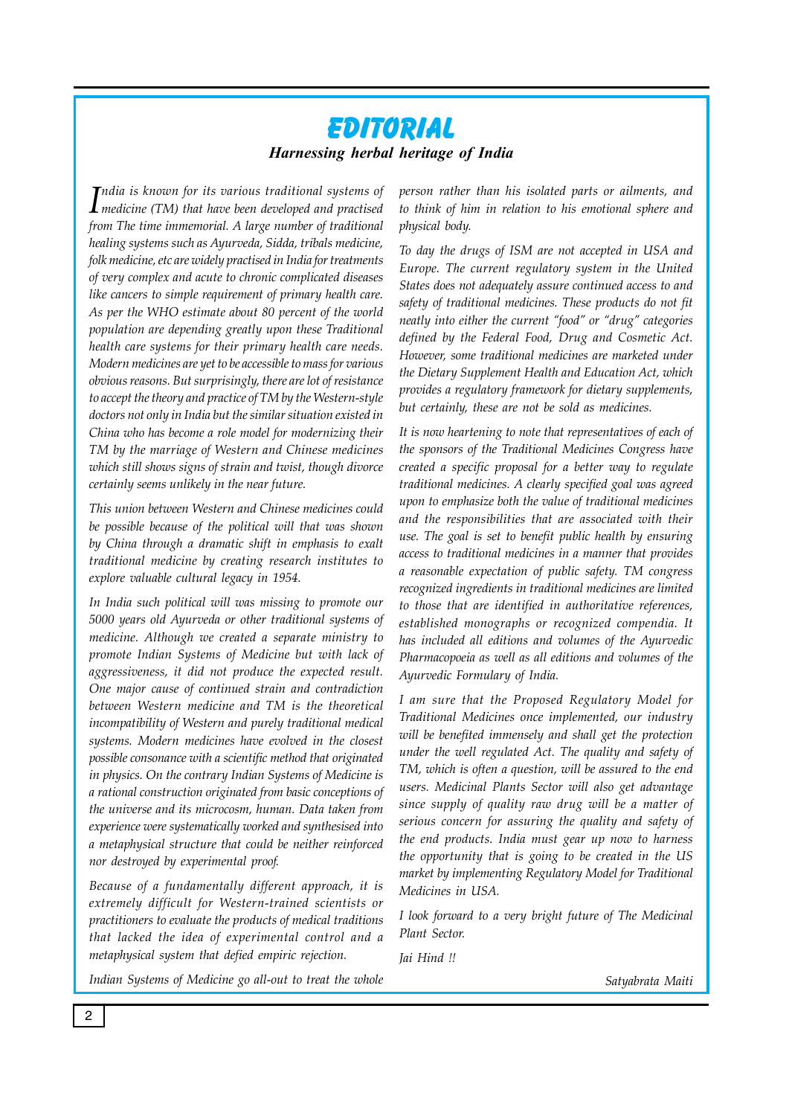# **Editorial** *Harnessing herbal heritage of India*

*I medicine (TM) that have been developed and practised ndia is known for its various traditional systems of from The time immemorial. A large number of traditional healing systems such as Ayurveda, Sidda, tribals medicine, folk medicine, etc are widely practised in India for treatments of very complex and acute to chronic complicated diseases like cancers to simple requirement of primary health care. As per the WHO estimate about 80 percent of the world population are depending greatly upon these Traditional health care systems for their primary health care needs. Modern medicines are yet to be accessible to mass for various obvious reasons. But surprisingly, there are lot of resistance to accept the theory and practice of TM by the Western-style doctors not only in India but the similar situation existed in China who has become a role model for modernizing their TM by the marriage of Western and Chinese medicines which still shows signs of strain and twist, though divorce certainly seems unlikely in the near future.* 

*This union between Western and Chinese medicines could be possible because of the political will that was shown by China through a dramatic shift in emphasis to exalt traditional medicine by creating research institutes to explore valuable cultural legacy in 1954.*

*In India such political will was missing to promote our 5000 years old Ayurveda or other traditional systems of medicine. Although we created a separate ministry to promote Indian Systems of Medicine but with lack of aggressiveness, it did not produce the expected result. One major cause of continued strain and contradiction between Western medicine and TM is the theoretical incompatibility of Western and purely traditional medical systems. Modern medicines have evolved in the closest possible consonance with a scientific method that originated in physics. On the contrary Indian Systems of Medicine is a rational construction originated from basic conceptions of the universe and its microcosm, human. Data taken from experience were systematically worked and synthesised into a metaphysical structure that could be neither reinforced nor destroyed by experimental proof.* 

*Because of a fundamentally different approach, it is extremely difficult for Western-trained scientists or practitioners to evaluate the products of medical traditions that lacked the idea of experimental control and a metaphysical system that defied empiric rejection.* 

*person rather than his isolated parts or ailments, and to think of him in relation to his emotional sphere and physical body.* 

*To day the drugs of ISM are not accepted in USA and Europe. The current regulatory system in the United States does not adequately assure continued access to and safety of traditional medicines. These products do not fit neatly into either the current "food" or "drug" categories defined by the Federal Food, Drug and Cosmetic Act. However, some traditional medicines are marketed under the Dietary Supplement Health and Education Act, which provides a regulatory framework for dietary supplements, but certainly, these are not be sold as medicines.*

*It is now heartening to note that representatives of each of the sponsors of the Traditional Medicines Congress have created a specific proposal for a better way to regulate traditional medicines. A clearly specified goal was agreed upon to emphasize both the value of traditional medicines and the responsibilities that are associated with their use. The goal is set to benefit public health by ensuring access to traditional medicines in a manner that provides a reasonable expectation of public safety. TM congress recognized ingredients in traditional medicines are limited to those that are identified in authoritative references, established monographs or recognized compendia. It has included all editions and volumes of the Ayurvedic Pharmacopoeia as well as all editions and volumes of the Ayurvedic Formulary of India.*

*I am sure that the Proposed Regulatory Model for Traditional Medicines once implemented, our industry will be benefited immensely and shall get the protection under the well regulated Act. The quality and safety of TM, which is often a question, will be assured to the end users. Medicinal Plants Sector will also get advantage since supply of quality raw drug will be a matter of serious concern for assuring the quality and safety of the end products. India must gear up now to harness the opportunity that is going to be created in the US market by implementing Regulatory Model for Traditional Medicines in USA.*

*I look forward to a very bright future of The Medicinal Plant Sector.*

*Jai Hind !!*

*Satyabrata Maiti*

*Indian Systems of Medicine go all-out to treat the whole*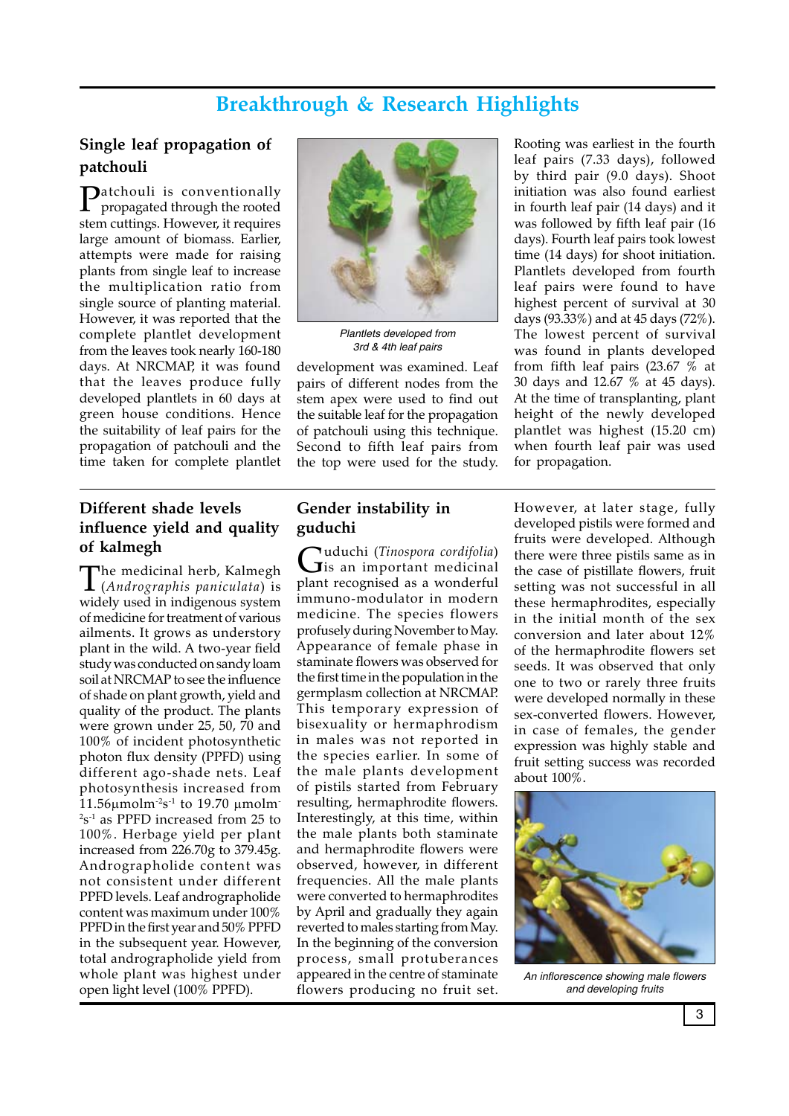# **Breakthrough & Research Highlights**

## **Single leaf propagation of patchouli**

Patchouli is conventionally propagated through the rooted stem cuttings. However, it requires large amount of biomass. Earlier, attempts were made for raising plants from single leaf to increase the multiplication ratio from single source of planting material. However, it was reported that the complete plantlet development from the leaves took nearly 160-180 days. At NRCMAP, it was found that the leaves produce fully developed plantlets in 60 days at green house conditions. Hence the suitability of leaf pairs for the propagation of patchouli and the time taken for complete plantlet



*Plantlets developed from 3rd & 4th leaf pairs*

development was examined. Leaf pairs of different nodes from the stem apex were used to find out the suitable leaf for the propagation of patchouli using this technique. Second to fifth leaf pairs from the top were used for the study.

Rooting was earliest in the fourth leaf pairs (7.33 days), followed by third pair (9.0 days). Shoot initiation was also found earliest in fourth leaf pair (14 days) and it was followed by fifth leaf pair (16 days). Fourth leaf pairs took lowest time (14 days) for shoot initiation. Plantlets developed from fourth leaf pairs were found to have highest percent of survival at 30 days (93.33%) and at 45 days (72%). The lowest percent of survival was found in plants developed from fifth leaf pairs (23.67 % at 30 days and 12.67 % at 45 days). At the time of transplanting, plant height of the newly developed plantlet was highest (15.20 cm) when fourth leaf pair was used for propagation.

# **Different shade levels influence yield and quality of kalmegh**

The medicinal herb, Kalmegh (*Andrographis paniculata*) is widely used in indigenous system of medicine for treatment of various ailments. It grows as understory plant in the wild. A two-year field study was conducted on sandy loam soil at NRCMAP to see the influence of shade on plant growth, yield and quality of the product. The plants were grown under 25, 50, 70 and 100% of incident photosynthetic photon flux density (PPFD) using different ago-shade nets. Leaf photosynthesis increased from  $11.56 \mu$ molm<sup>-2</sup>s<sup>-1</sup> to 19.70  $\mu$ molm-2 s-1 as PPFD increased from 25 to 100%. Herbage yield per plant increased from 226.70g to 379.45g. Andrographolide content was not consistent under different PPFD levels. Leaf andrographolide content was maximum under 100% PPFD in the first year and 50% PPFD in the subsequent year. However, total andrographolide yield from whole plant was highest under open light level (100% PPFD).

### **Gender instability in guduchi**

Guduchi (*Tinospora cordifolia*) is an important medicinal plant recognised as a wonderful immuno-modulator in modern medicine. The species flowers profusely during November to May. Appearance of female phase in staminate flowers was observed for the first time in the population in the germplasm collection at NRCMAP. This temporary expression of bisexuality or hermaphrodism in males was not reported in the species earlier. In some of the male plants development of pistils started from February resulting, hermaphrodite flowers. Interestingly, at this time, within the male plants both staminate and hermaphrodite flowers were observed, however, in different frequencies. All the male plants were converted to hermaphrodites by April and gradually they again reverted to males starting from May. In the beginning of the conversion process, small protuberances appeared in the centre of staminate flowers producing no fruit set.

However, at later stage, fully developed pistils were formed and fruits were developed. Although there were three pistils same as in the case of pistillate flowers, fruit setting was not successful in all these hermaphrodites, especially in the initial month of the sex conversion and later about 12% of the hermaphrodite flowers set seeds. It was observed that only one to two or rarely three fruits were developed normally in these sex-converted flowers. However, in case of females, the gender expression was highly stable and fruit setting success was recorded about 100%.



*An inflorescence showing male flowers and developing fruits*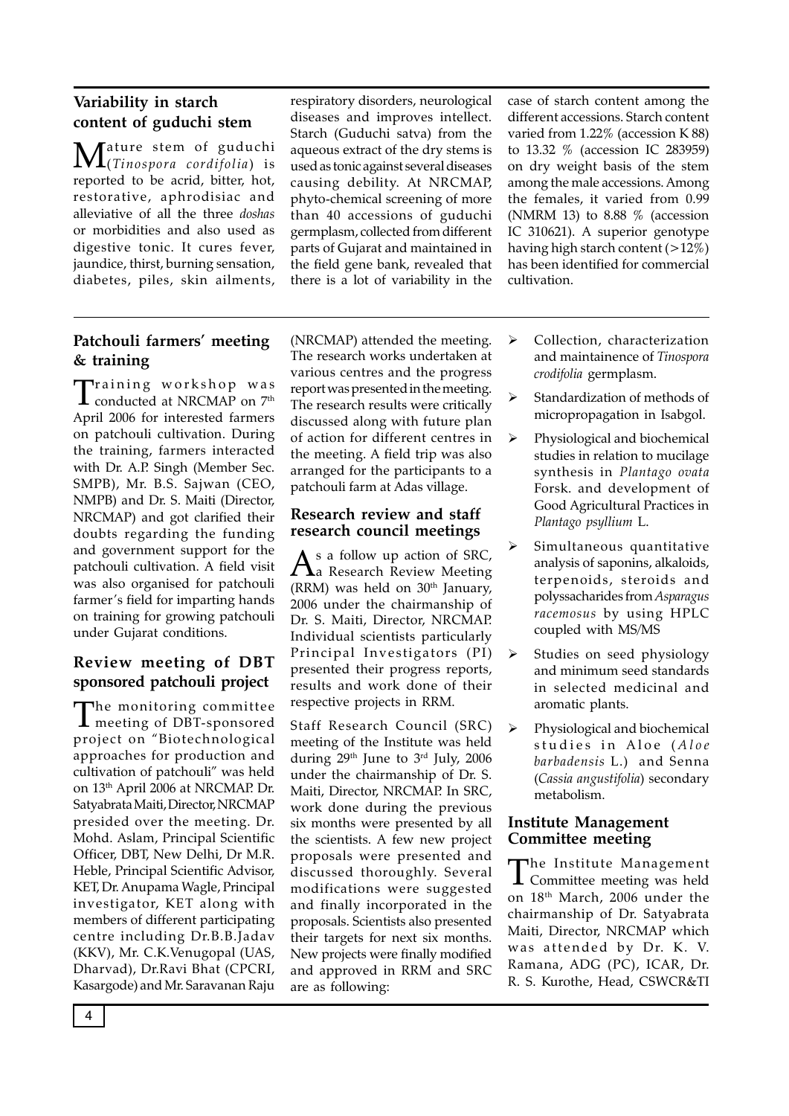## **Variability in starch content of guduchi stem**

Mature stem of guduchi (*Tinospora cordifolia*) is reported to be acrid, bitter, hot, restorative, aphrodisiac and alleviative of all the three *doshas*  or morbidities and also used as digestive tonic. It cures fever, jaundice, thirst, burning sensation, diabetes, piles, skin ailments,

respiratory disorders, neurological diseases and improves intellect. Starch (Guduchi satva) from the aqueous extract of the dry stems is used as tonic against several diseases causing debility. At NRCMAP, phyto-chemical screening of more than 40 accessions of guduchi germplasm, collected from different parts of Gujarat and maintained in the field gene bank, revealed that there is a lot of variability in the case of starch content among the different accessions. Starch content varied from 1.22% (accession K 88) to 13.32 % (accession IC 283959) on dry weight basis of the stem among the male accessions. Among the females, it varied from 0.99 (NMRM 13) to 8.88  $%$  (accession IC 310621). A superior genotype having high starch content  $(>12\%)$ has been identified for commercial cultivation.

## **Patchouli farmers' meeting & training**

 $\begin{array}{c} \prod \mathrm{raining}\ \ \mathrm{workshop}\ \ \mathrm{was}\ \ \mathrm{Conducted}\ \ \mathrm{at}\ \ \mathrm{NRCMAP}\ \mathrm{on}\ \mathrm{7}^{\mathrm{th}} \end{array}$ April 2006 for interested farmers on patchouli cultivation. During the training, farmers interacted with Dr. A.P. Singh (Member Sec. SMPB), Mr. B.S. Sajwan (CEO, NMPB) and Dr. S. Maiti (Director, NRCMAP) and got clarified their doubts regarding the funding and government support for the patchouli cultivation. A field visit was also organised for patchouli farmer's field for imparting hands on training for growing patchouli under Gujarat conditions.

## **Review meeting of DBT sponsored patchouli project**

The monitoring committee meeting of DBT-sponsored project on "Biotechnological approaches for production and cultivation of patchouli" was held on 13th April 2006 at NRCMAP. Dr. Satyabrata Maiti, Director, NRCMAP presided over the meeting. Dr. Mohd. Aslam, Principal Scientific Officer, DBT, New Delhi, Dr M.R. Heble, Principal Scientific Advisor, KET, Dr. Anupama Wagle, Principal investigator, KET along with members of different participating centre including Dr.B.B.Jadav (KKV), Mr. C.K.Venugopal (UAS, Dharvad), Dr.Ravi Bhat (CPCRI, Kasargode) and Mr. Saravanan Raju

(NRCMAP) attended the meeting. The research works undertaken at various centres and the progress report was presented in the meeting. The research results were critically discussed along with future plan of action for different centres in the meeting. A field trip was also arranged for the participants to a patchouli farm at Adas village.

#### **Research review and staff research council meetings**

As a follow up action of SRC,<br>a Research Review Meeting (RRM) was held on  $30<sup>th</sup>$  January, 2006 under the chairmanship of Dr. S. Maiti, Director, NRCMAP. Individual scientists particularly Principal Investigators (PI) presented their progress reports, results and work done of their respective projects in RRM.

Staff Research Council (SRC) meeting of the Institute was held during 29th June to 3rd July, 2006 under the chairmanship of Dr. S. Maiti, Director, NRCMAP. In SRC, work done during the previous six months were presented by all the scientists. A few new project proposals were presented and discussed thoroughly. Several modifications were suggested and finally incorporated in the proposals. Scientists also presented their targets for next six months. New projects were finally modified and approved in RRM and SRC are as following:

- > Collection, characterization and maintainence of *Tinospora crodifolia* germplasm.
- $\triangleright$  Standardization of methods of micropropagation in Isabgol.
- $\triangleright$  Physiological and biochemical studies in relation to mucilage synthesis in *Plantago ovata* Forsk. and development of Good Agricultural Practices in *Plantago psyllium* L.
- $\triangleright$  Simultaneous quantitative analysis of saponins, alkaloids, terpenoids, steroids and polyssacharides from *Asparagus racemosus* by using HPLC coupled with MS/MS
- Studies on seed physiology and minimum seed standards in selected medicinal and aromatic plants.
- Physiological and biochemical studies in Aloe (Aloe *barbadensis* L.) and Senna (*Cassia angustifolia*) secondary metabolism.

#### **Institute Management Committee meeting**

The Institute Management Committee meeting was held on 18th March, 2006 under the chairmanship of Dr. Satyabrata Maiti, Director, NRCMAP which was attended by Dr. K. V. Ramana, ADG (PC), ICAR, Dr. R. S. Kurothe, Head, CSWCR&TI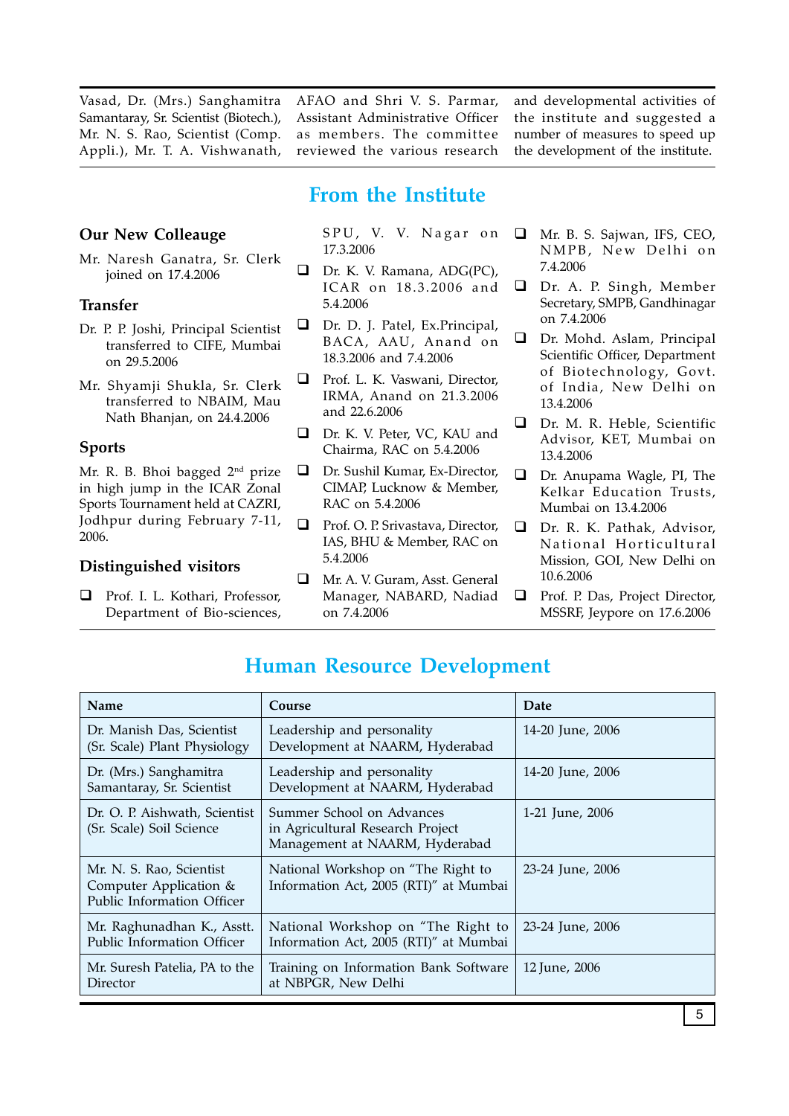Vasad, Dr. (Mrs.) Sanghamitra Samantaray, Sr. Scientist (Biotech.), Mr. N. S. Rao, Scientist (Comp. Appli.), Mr. T. A. Vishwanath,

Mr. Naresh Ganatra, Sr. Clerk joined on 17.4.2006

Dr. P. P. Joshi, Principal Scientist transferred to CIFE, Mumbai

Mr. Shyamji Shukla, Sr. Clerk transferred to NBAIM, Mau Nath Bhanjan, on 24.4.2006

Mr. R. B. Bhoi bagged 2<sup>nd</sup> prize in high jump in the ICAR Zonal Sports Tournament held at CAZRI, Jodhpur during February 7-11,

□ Prof. I. L. Kothari, Professor, Department of Bio-sciences,

**Distinguished visitors** 

**Our New Colleauge**

on 29.5.2006

**Transfer**

**Sports**

2006.

AFAO and Shri V. S. Parmar, Assistant Administrative Officer as members. The committee reviewed the various research

and developmental activities of the institute and suggested a number of measures to speed up the development of the institute.

# **From the Institute**

SPU, V. V. Nagar on 17.3.2006

- Dr. K. V. Ramana, ADG(PC), ICAR on 18.3.2006 and 5.4.2006
- Dr. D. J. Patel, Ex.Principal, BACA, AAU, Anand on 18.3.2006 and 7.4.2006
- **Q** Prof. L. K. Vaswani, Director, IRMA, Anand on 21.3.2006 and 22.6.2006
- Dr. K. V. Peter, VC, KAU and Chairma, RAC on 5.4.2006
- □ Dr. Sushil Kumar, Ex-Director, CIMAP, Lucknow & Member, RAC on 5.4.2006
- □ Prof. O. P. Srivastava, Director, IAS, BHU & Member, RAC on 5.4.2006
- Mr. A. V. Guram, Asst. General Manager, NABARD, Nadiad on 7.4.2006
- Mr. B. S. Sajwan, IFS, CEO, NMPB, New Delhi on 7.4.2006
- Dr. A. P. Singh, Member Secretary, SMPB, Gandhinagar on 7.4.2006
- Dr. Mohd. Aslam, Principal Scientific Officer, Department of Biotechnology, Govt. of India, New Delhi on 13.4.2006
- Advisor, KET, Mumbai on 13.4.2006
- Dr. Anupama Wagle, PI, The Kelkar Education Trusts, Mumbai on 13.4.2006
- Dr. R. K. Pathak, Advisor, National Horticultural Mission, GOI, New Delhi on 10.6.2006
- **D** Prof. P. Das, Project Director, MSSRF, Jeypore on 17.6.2006

| <b>Name</b>                                                                      | Course                                                                                          | Date             |
|----------------------------------------------------------------------------------|-------------------------------------------------------------------------------------------------|------------------|
| Dr. Manish Das, Scientist<br>(Sr. Scale) Plant Physiology                        | Leadership and personality<br>Development at NAARM, Hyderabad                                   | 14-20 June, 2006 |
| Dr. (Mrs.) Sanghamitra<br>Samantaray, Sr. Scientist                              | Leadership and personality<br>Development at NAARM, Hyderabad                                   | 14-20 June, 2006 |
| Dr. O. P. Aishwath, Scientist<br>(Sr. Scale) Soil Science                        | Summer School on Advances<br>in Agricultural Research Project<br>Management at NAARM, Hyderabad | 1-21 June, 2006  |
| Mr. N. S. Rao, Scientist<br>Computer Application &<br>Public Information Officer | National Workshop on "The Right to<br>Information Act, 2005 (RTI)" at Mumbai                    | 23-24 June, 2006 |
| Mr. Raghunadhan K., Asstt.<br>Public Information Officer                         | National Workshop on "The Right to<br>Information Act, 2005 (RTI)" at Mumbai                    | 23-24 June, 2006 |
| Mr. Suresh Patelia, PA to the<br>Director                                        | Training on Information Bank Software<br>at NBPGR, New Delhi                                    | 12 June, 2006    |

# **Human Resource Development**

- 
- 
- Dr. M. R. Heble, Scientific